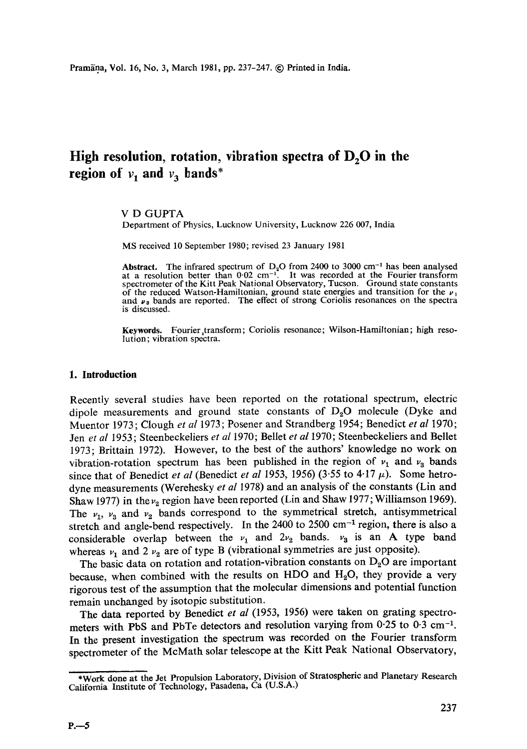# High resolution, rotation, vibration spectra of D<sub>2</sub>O in the **region of**  $v_1$  **and**  $v_3$  **bands\***

## V D GUPTA

Department of Physics, Lucknow University, Lucknow 226 007, India

MS received 10 September 1980; revised 23 January 1981

Abstract. The infrared spectrum of  $D_2O$  from 2400 to 3000 cm<sup>-1</sup> has been analysed at a resolution better than  $0.02 \text{ cm}^{-1}$ . It was recorded at the Fourier transform spectrometer of the Kitt Peak National Observatory, Tucson. Ground state constants of the reduced Watson-Hamiltonian, ground state energies and transition for the  $\nu_1$ and  $\nu_3$  bands are reported. The effect of strong Coriolis resonances on the spectra is discussed.

**Keywords.** Fourier,transform; Coriolis resonance; Wilson-Hamiltonian; high resolution; vibration spectra.

#### **1. Introduction**

Recently several studies have been reported on the rotational spectrum, electric dipole measurements and ground state constants of  $D_2O$  molecule (Dyke and Muentor 1973; Clough *et al* 1973; Posener and Strandberg 1954; Benedict *et al* 1970; Jen *et al* 1953; Steenbeckeliers *et al* 1970; Bellet *et al* 1970; Steenbeckeliers and Bellet 1973; Brittain 1972). However, to the best of the authors' knowledge no work on vibration-rotation spectrum has been published in the region of  $v_1$  and  $v_3$  bands since that of Benedict *et al* (Benedict *et al* 1953, 1956) (3.55 to 4.17  $\mu$ ). Some hetrodyne measurements (Werehesky *et al* 1978) and an analysis of the constants (Lin and Shaw 1977) in the  $\nu_2$  region have been reported (Lin and Shaw 1977; Williamson 1969). The  $v_1$ ,  $v_3$  and  $v_2$  bands correspond to the symmetrical stretch, antisymmetrical stretch and angle-bend respectively. In the  $2400$  to  $2500$  cm<sup>-1</sup> region, there is also a considerable overlap between the  $v_1$  and  $2v_2$  bands.  $v_3$  is an A type band whereas  $v_1$  and 2  $v_2$  are of type B (vibrational symmetries are just opposite).

The basic data on rotation and rotation-vibration constants on  $D_2O$  are important because, when combined with the results on HDO and  $H_2O$ , they provide a very rigorous test of the assumption that the molecular dimensions and potential function remain unchanged by isotopic substitution.

The data reported by Benedict *et al* (1953, 1956) were taken on grating spectrometers with PbS and PbTe detectors and resolution varying from 0.25 to 0.3 cm<sup>-1</sup>. In the present investigation the spectrum was recorded on the Fourier transform spectrometer of the McMath solar telescope at the Kitt Peak National Observatory,

<sup>\*</sup>Work done at the Jet Propulsion Laboratory, Division of Stratospheric and Planetary Research California Institute of Technology, Pasadena, Ca (U.S.A.)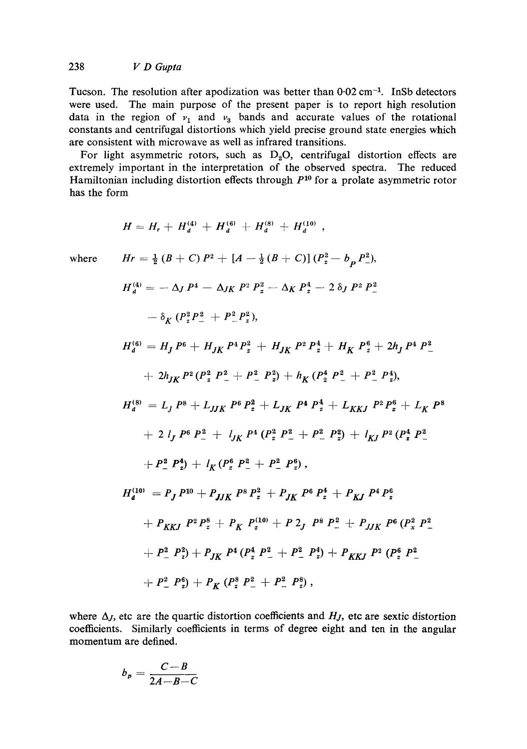## 238 *V D Gupta*

Tucson. The resolution after apodization was better than  $0.02 \text{ cm}^{-1}$ . InSb detectors were used. The main purpose of the present paper is to report high resolution data in the region of  $v_1$  and  $v_3$  bands and accurate values of the rotational constants and centrifugal distortions which yield precise ground state energies which are consistent with microwave as well as infrared transitions.

For light asymmetric rotors, such as  $D_2O$ , centrifugal distortion effects are extremely important in the interpretation of the observed spectra. The reduced Hamiltonian including distortion effects through  $P^{10}$  for a prolate asymmetric rotor has the form

$$
H = H_r + H_d^{(4)} + H_d^{(6)} + H_d^{(8)} + H_d^{(10)},
$$
  
\nwhere  
\n
$$
Hr = \frac{1}{2} (B + C) P^2 + [A - \frac{1}{2} (B + C)] (P_z^2 - b_p P_z^2),
$$
\n
$$
H_d^{(4)} = -\Delta J P^4 - \Delta J K P^2 P_z^2 - \Delta K P_z^4 - 2 \delta J P^2 P_z^2
$$
\n
$$
- \delta_K (P_z^2 P_z^2 + P_z^2 P_z^2),
$$
\n
$$
H_d^{(6)} = H_J P^6 + H_{JK} P^4 P_z^2 + H_{JK} P^2 P_z^4 + H_K P_z^6 + 2h_J P^4 P_-^2
$$
\n
$$
+ 2h_{JK} P^2 (P_z^2 P_z^2 + P_z^2 P_z^2) + h_K (P_2^4 P_z^2 + P_z^2 P_z^4),
$$
\n
$$
H_d^{(8)} = L_J P^8 + L_{JJK} P^6 P_z^2 + L_{JK} P^4 P_z^4 + L_{KKJ} P^2 P_z^6 + L_K P^8
$$
\n
$$
+ 2 l_J P^6 P_z^2 + l_{JK} P^4 (P_z^2 P_z^2 + P_z^2 P_z^2) + l_{KI} P^2 (P_z^4 P_z^2 + P_z^2 P_z^4) + l_K (P_z^6 P_z^2 + P_z^2 P_z^6),
$$
\n
$$
H_d^{(10)} = P_J P^{10} + P_{JJK} P^8 P_z^2 + P_{JK} P^6 P_z^4 + P_{KJ} P^4 P_z^6
$$
\n
$$
+ P_{KKJ} P^2 P_z^8 + P_K P_z^{(10)} + P 2J P^8 P_z^2 + P_{JJK} P^6 (P_x^2 P_z^2 + P_z^2 P_z^2) + P_{KKJ} P^2 (P_z^6 P_z^2 + P_z^2 P_z^2) + P_{KKJ} P^2 (P_z^6 P_z^2 + P_z^2 P_z^2) + P_{KKJ} P^2 (P_z^6 P_z^2 + P_z^2 P_z^2) + P_{KKJ} P^2 (P_z^6 P_z^2 + P_z^2 P_z^2),
$$

where  $\Delta_J$ , etc are the quartic distortion coefficients and  $H_J$ , etc are sextic distortion coefficients. Similarly coefficients in terms of degree eight and ten in the angular momentum are defined.

$$
b_p = \frac{C-B}{2A-B-C}
$$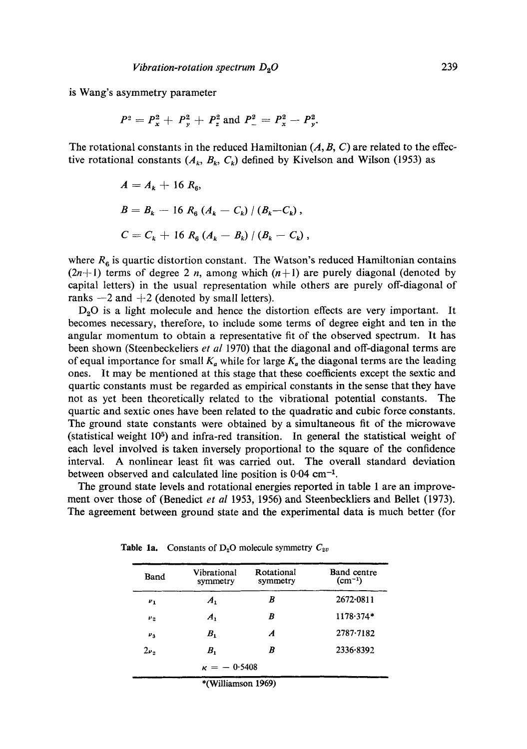is Wang's asymmetry parameter

$$
P^2 = P_x^2 + P_y^2 + P_z^2
$$
 and  $P_-^2 = P_x^2 - P_y^2$ .

The rotational constants in the reduced Hamiltonian  $(A, B, C)$  are related to the effective rotational constants  $(A_k, B_k, C_k)$  defined by Kivelson and Wilson (1953) as

$$
A = A_{k} + 16 R_{6},
$$
  
\n
$$
B = B_{k} - 16 R_{6} (A_{k} - C_{k}) / (B_{k} - C_{k}),
$$
  
\n
$$
C = C_{k} + 16 R_{6} (A_{k} - B_{k}) / (B_{k} - C_{k}),
$$

where  $R_6$  is quartic distortion constant. The Watson's reduced Hamiltonian contains  $(2n+1)$  terms of degree 2 n, among which  $(n+1)$  are purely diagonal (denoted by capital letters) in the usual representation while others are purely off-diagonal of ranks  $-2$  and  $+2$  (denoted by small letters).

 $D_2O$  is a light molecule and hence the distortion effects are very important. It becomes necessary, therefore, to include some terms of degree eight and ten in the angular momentum to obtain a representative fit of the observed spectrum. It has been shown (Steenbeckeliers *et al* 1970) that the diagonal and off-diagonal terms are of equal importance for small  $K_a$  while for large  $K_a$  the diagonal terms are the leading ones. It may be mentioned at this stage that these coefficients except the sextic and quartic constants must be regarded as empirical constants in the sense that they have not as yet been theoretically related to the vibrational potential constants. The quartic and sextic ones have been related to the quadratic and cubic force constants. The ground state constants were obtained by a simultaneous fit of the microwave (statistical weight  $10<sup>5</sup>$ ) and infra-red transition. In general the statistical weight of each level involved is taken inversely proportional to the square of the confidence interval. A nonlinear least fit was carried out. The overall standard deviation between observed and calculated line position is  $0.04 \text{ cm}^{-1}$ .

The ground state levels and rotational energies reported in table 1 are an improvement over those of (Benedict *et al* 1953, 1956) and Steenbeckliers and Bellet (1973). The agreement between ground state and the experimental data is much better (for

| Band                 | Vibrational<br>symmetry | Rotational<br>symmetry | <b>Band</b> centre<br>$(cm^{-1})$ |
|----------------------|-------------------------|------------------------|-----------------------------------|
| $\mathbf{v}_1$       | $A_{1}$                 | B                      | 2672.0811                         |
| $\boldsymbol{\nu}_2$ | $\boldsymbol{A}_1$      | B                      | $1178.374*$                       |
| $\boldsymbol{\nu}_3$ | $B_{1}$                 | A                      | $2787 - 7182$                     |
| $2\nu$               | $B_{1}$                 | B                      | 2336.8392                         |
|                      | $\kappa = -0.5408$      |                        |                                   |
|                      | *(Williamson 1969)      |                        |                                   |

Table 1a. Constants of  $D_2O$  molecule symmetry  $C_{2v}$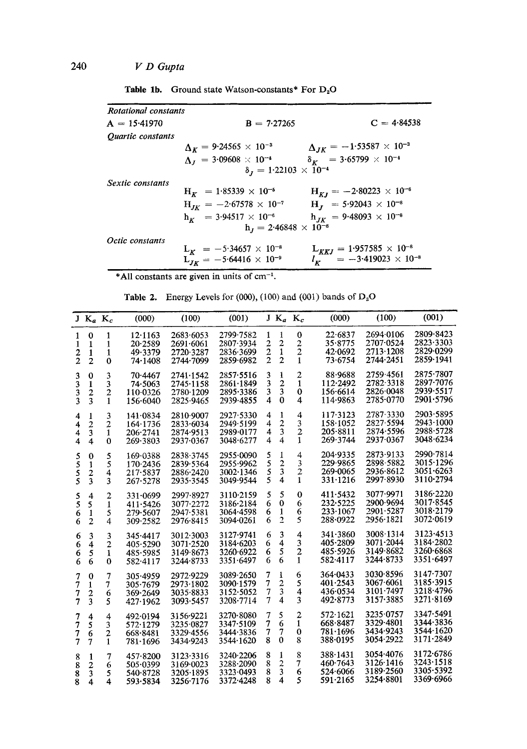| <b>Table 1b.</b> Ground state Watson-constants* For $D_2O$ |  |
|------------------------------------------------------------|--|
|                                                            |  |

| Rotational constants |                                               |                                              |
|----------------------|-----------------------------------------------|----------------------------------------------|
| $A = 15.41970$       | $B = 7.27265$                                 | $C = 4.84538$                                |
| Quartic constants    |                                               |                                              |
|                      | $\Delta_K = 9.24565 \times 10^{-3}$           | $\Delta_{JK} = -1.53587 \times 10^{-3}$      |
|                      | $\Delta_I = 3.09608 \times 10^{-4}$           | $\delta_K = 3.65799 \times 10^{-4}$          |
|                      | $\delta_J = 1.22103 \times 10^{-4}$           |                                              |
| Sextic constants     |                                               |                                              |
|                      | $H_K$ = 1.85339 $\times$ 10 <sup>-5</sup>     | $H_{KJ} = -2.80223 \times 10^{-6}$           |
|                      | $H_{JK} = -2.67578 \times 10^{-7}$            | $H_J$ = 5.92043 × 10 <sup>-8</sup>           |
|                      | $h_{\nu}$ = 3.94517 $\times$ 10 <sup>-6</sup> | $h_{IK}$ = 9.48093 $\times$ 10 <sup>-8</sup> |
|                      | $h_J = 2.46848 \times 10^{-8}$                |                                              |
| Octic constants      |                                               |                                              |
|                      | $L_K$ = -5.34657 $\times$ 10 <sup>-8</sup>    | $L_{KKJ} = 1.957585 \times 10^{-8}$          |
|                      | $L_{JK} = -5.64416 \times 10^{-9}$            | $l_K = -3.419023 \times 10^{-8}$             |

\*All constants are given in units of  $cm^{-1}$ .

Table 2. Energy Levels for (000), (100) and (001) bands of  $D_2O$ 

|                | $J K_a K_c$             |                         | (000)        | (100)     | (001)     |                | $J K_a K_c$             |                         | (000)            | (100)     | (001)             |
|----------------|-------------------------|-------------------------|--------------|-----------|-----------|----------------|-------------------------|-------------------------|------------------|-----------|-------------------|
| 1              | 0                       | 1                       | 12.1163      | 2683.6053 | 2799-7582 | 1              | 1                       | $\bf{0}$                | 22.6837          | 2694.0106 | 2809-8423         |
| 1              | 1                       | 1                       | 20.2589      | 2691.6061 | 2807-3934 | $\overline{c}$ | $\overline{\mathbf{c}}$ | $\overline{c}$          | 35.8775          | 2707.0524 | 2823.3303         |
|                |                         |                         | 49.3379      | 2720.3287 | 2836-3699 | $\overline{c}$ | $\mathbf{1}$            | $\overline{2}$          | 42.0692          | 2713-1208 | 2829.0299         |
| $\frac{2}{2}$  | $\mathbf{1}$            | 1                       |              |           |           | $\overline{2}$ | $\overline{2}$          |                         |                  | 2744-2451 | 2859.1941         |
|                | $\overline{2}$          | $\bf{0}$                | 74.1408      | 2744-7099 | 2859-6982 |                |                         | $\mathbf{1}$            | 73.6754          |           |                   |
| 3              | $\bf{0}$                | 3                       | 70.4467      | 2741.1542 | 2857.5516 | 3              | 1                       | $\overline{c}$          | 88-9688          | 2759-4561 | 2875.7807         |
| 3              | 1                       | 3                       | 74.5063      | 2745-1158 | 2861.1849 | 3              | $\overline{\mathbf{c}}$ | $\mathbf{1}$            | 112-2492         | 2782-3318 | 2897-7076         |
|                | $\overline{c}$          | $\overline{\mathbf{c}}$ | 110.0326     | 2780-1209 | 2895.3386 | 3              | 3                       | $\bf{0}$                | 156-6614         | 2826.0048 | 2939.5517         |
| $\frac{3}{3}$  | 3                       | $\mathbf{1}$            | 156.6040     | 2825.9465 | 2939.4855 | 4              | $\Omega$                | 4                       | 114.9863         | 2785-0770 | 2901-5796         |
|                |                         |                         |              |           |           |                |                         |                         |                  |           |                   |
| 4              | 1                       | 3                       | 141.0834     | 2810.9007 | 2927.5330 | 4              | 1                       | $\overline{4}$          | 117.3123         | 2787-3330 | 2903-5895         |
| 4              | $\overline{2}$          | $\overline{2}$          | 164.1736     | 2833-6034 | 2949.5199 | 4              | $\overline{c}$          | 3                       | $158 - 1052$     | 2827-5594 | $2943 \cdot 1000$ |
| 4              | 3                       | 1                       | 206.2741     | 2874.9513 | 2989.0177 | 4              | $\overline{\mathbf{3}}$ | $\overline{2}$          | $205 - 8811$     | 2874.5596 | 2988.5728         |
| 4              | $\overline{\mathbf{4}}$ | $\Omega$                | 269.3803     | 2937-0367 | 3048.6277 | 4              | $\overline{4}$          | $\mathbf{1}$            | 269.3744         | 2937-0367 | 3048.6234         |
|                |                         |                         |              |           |           |                |                         |                         |                  |           |                   |
| 5              | 0                       | 5                       | 169.0388     | 2838-3745 | 2955-0090 | 5              | 1                       | 4                       | 204-9335         | 2873-9133 | 2990.7814         |
| 5              | 1                       | 5                       | 170.2436     | 2839.5364 | 2955.9962 | 5              | $\overline{c}$          | 3                       | 229-9865         | 2898-5882 | 3015.1296         |
|                |                         | 4                       | 217.5837     | 2886-2420 | 3002.1346 | $\frac{5}{5}$  | 3                       | $\frac{2}{1}$           | 269-0065         | 2936-8612 | 3051-6263         |
| 5<br>5         | $\frac{2}{3}$           | 3                       | 267.5278     | 2935-3545 | 3049.9544 |                | $\overline{\mathbf{4}}$ |                         | $331 \cdot 1216$ | 2997-8930 | 3110-2794         |
|                |                         |                         |              |           |           |                |                         |                         |                  |           |                   |
|                | 4                       | $\overline{\mathbf{c}}$ | 331.0699     | 2997-8927 | 3110.2159 | 5              | 5                       | $\bf{0}$                | 411.5432         | 3077-9971 | 3186.2220         |
| $\frac{5}{5}$  | 5                       | $\mathbf{1}$            | 411.5426     | 3077.2272 | 3186-2184 | 6              | 0                       | 6                       | 232-5225         | 2900 9694 | 3017.8545         |
| 6              | 1                       | 5                       | 279.5607     | 2947.5381 | 3064-4598 | 6              | 1                       | 6                       | 233-1067         | 2901-5287 | 3018.2179         |
| 6              | $\overline{2}$          | $\overline{4}$          | 309-2582     | 2976-8415 | 3094-0261 | 6              | $\overline{2}$          | 5                       | 288.0922         | 2956-1821 | 3072.0619         |
|                |                         |                         |              |           |           |                |                         |                         |                  |           |                   |
| 6              | 3                       | 3                       | 345.4417     | 3012.3003 | 3127.9741 | 6              | 3                       | 4                       | 341-3860         | 3008-1314 | 3123.4513         |
| 6              | $\overline{4}$          | $\overline{2}$          | 405.5290     | 3071.2520 | 3184-6203 | 6              | $\overline{\bf{4}}$     | 3                       | 405-2809         | 3071-2044 | 3184.2802         |
| 6              | 5                       | 1                       | 485.5985     | 3149.8673 | 3260.6922 | 6              | 5                       | $\overline{\mathbf{c}}$ | 485.5926         | 3149-8682 | 3260.6868         |
| 6              | 6                       | $\bf{0}$                | 582.4117     | 3244.8733 | 3351-6497 | 6              | 6                       | 1                       | 582-4117         | 3244.8733 | 3351.6497         |
|                |                         |                         |              |           |           |                |                         |                         |                  |           |                   |
| 7              | $\bf{0}$                | $\overline{7}$          | 305.4959     | 2972.9229 | 3089.2650 | 7              | 1                       | 6                       | 364.0433         | 3030.8596 | 3147.7307         |
| 7              | 1                       | 7                       | 305.7679     | 2973.1802 | 3090.1579 | 7              | $\overline{c}$          | 5                       | 401.2543         | 3067.6061 | 3185.3915         |
| 7              | $\overline{\mathbf{c}}$ | 6                       | 369.2649     | 3035.8833 | 3152-5052 | 7              | 3                       | 4                       | 436.0534         | 3101-7497 | 3218-4796         |
| $\overline{7}$ | 3                       | 5                       | 427.1962     | 3093.5457 | 3208-7714 | $\overline{7}$ | $\overline{4}$          | 3                       | 492.8773         | 3157-3885 | 3271.8169         |
|                |                         |                         |              |           |           |                |                         |                         |                  |           |                   |
| 7              | 4                       | 4                       | 492.0194     | 3156-9221 | 3270-8080 | 7              | 5                       | $\boldsymbol{2}$        | 572.1621         | 3235.0757 | 3347-5491         |
| 7              | 5                       | 3                       | 572.1279     | 3235.0827 | 3347.5109 | 7              | 6                       | 1                       | 668-8487         | 3329-4801 | 3344-3836         |
| 7              | 6                       | 2                       | 668-8481     | 3329.4556 | 3444.3836 | 7              | 7                       | 0                       | 781.1696         | 3434.9243 | 3544-1620         |
| 7              | $\overline{7}$          | $\mathbf{1}$            | 781.1696     | 3434.9243 | 3544-1620 | 8              | $\mathbf{0}$            | 8                       | 388.0195         | 3054.2922 | 3171.2849         |
|                |                         |                         |              |           |           |                |                         |                         |                  |           |                   |
| 8              | 1                       | 7                       | 457.8200     | 3123.3316 | 3240.2206 | 8              | 1                       | 8                       | 388.1431         | 3054.4076 | 3172-6786         |
| 8              | 2                       | 6                       | $505 - 0399$ | 3169.0023 | 3288.2090 | 8              | $\overline{c}$          | 7                       | 460.7643         | 3126.1416 | 3243.1518         |
| 8              | 3                       | 5                       | 540.8728     | 3205-1895 | 3323-0493 | 8              | 3                       | 6                       | 524.6066         | 3189.2560 | 3305-5392         |
| 8              | $\overline{\bf 4}$      | 4                       | 593.5834     | 3256.7176 | 3372-4248 | 8              | 4                       | 5                       | 591.2165         | 3254.8801 | 3369.6966         |
|                |                         |                         |              |           |           |                |                         |                         |                  |           |                   |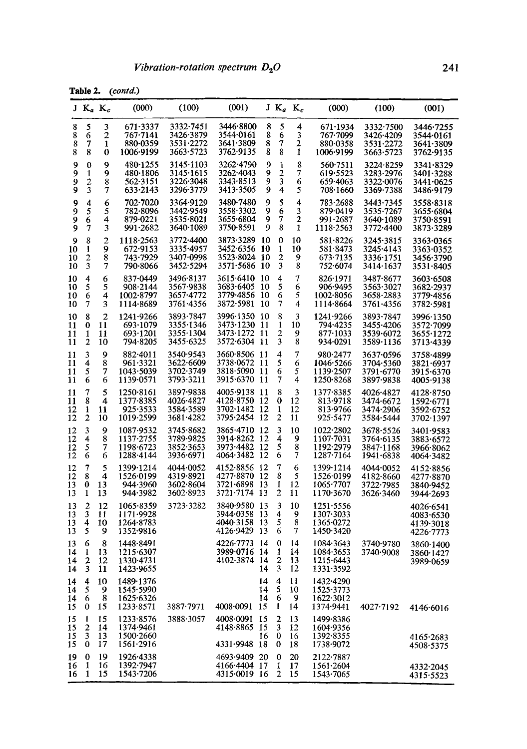Table 2. (contd.)

|                      | TUNG W                        |                               | $(\ldots, \ldots, \ldots)$                             |                                                  |                                                              |                   |                               |                                   |                                                          |                                                  |                                                  |
|----------------------|-------------------------------|-------------------------------|--------------------------------------------------------|--------------------------------------------------|--------------------------------------------------------------|-------------------|-------------------------------|-----------------------------------|----------------------------------------------------------|--------------------------------------------------|--------------------------------------------------|
|                      |                               | $J K_a K_c$                   | (000)                                                  | (100)                                            | (001)                                                        |                   |                               | $J K_a K_c$                       | (000)                                                    | (100)                                            | (001)                                            |
| 8<br>8<br>8<br>8     | 5<br>6<br>7<br>8              | 3<br>$\overline{c}$<br>1<br>0 | $671 - 3337$<br>767•7141<br>880-0359<br>1006-9199      | 3332-7451<br>3426.3879<br>3531-2272<br>3663-5723 | 3446.8800<br>3544∙0161<br>3641·3809<br>3762-9135             | 8<br>8<br>8<br>8  | 5<br>6<br>7<br>8              | 4<br>3<br>$\boldsymbol{2}$<br>1   | 671.1934<br>767-7099<br>880.0358<br>1006.9199            | 3332.7500<br>3426-4209<br>3531-2272<br>3663.5723 | 3446-7255<br>3544.0161<br>3641.3809<br>3762-9135 |
| 9<br>9<br>9<br>9     | 0<br>1<br>2<br>3              | 9<br>9<br>8<br>7              | 480-1255<br>480-1806<br>562-3151<br>633.2143           | 3145.1103<br>3145.1615<br>3226-3048<br>3296.3779 | 3262.4790<br>3262-4043<br>3343-8513<br>3413-3505             | 9<br>9<br>9<br>9  | 1<br>$\overline{2}$<br>3<br>4 | 8<br>7<br>6<br>5                  | 560.7511<br>619.5523<br>659.4063<br>708.1660             | 3224-8259<br>3283-2976<br>3322.0076<br>3369-7388 | 3341.8329<br>3401-3288<br>3441-0625<br>3486-9179 |
| 9<br>9<br>9<br>9     | 4<br>5<br>6<br>7              | 6<br>5<br>4<br>3              | 702.7020<br>782 8096<br>879.0221<br>991.2682           | 3364.9129<br>3442.9549<br>3535-8021<br>3640.1089 | 3480-7480<br>3558-3302<br>3655.6804<br>3750-8591             | 9<br>9<br>9<br>9  | 5<br>6<br>7<br>8              | 4<br>3<br>2<br>1                  | 783.2688<br>879.0419<br>991.2687<br>1118.2563            | 3443.7345<br>3535-7267<br>3640.1089<br>3772-4400 | 3558.8318<br>3655·6804<br>3750-8591<br>3873-3289 |
| 9<br>10<br>10<br>10  | 8<br>1<br>2<br>3              | 2<br>9<br>8<br>7              | 1118.2563<br>672-9153<br>743-7929<br>790-8066          | 3772-4400<br>3335-4957<br>3407∙0998<br>3452-5294 | 3873-3289<br>3452 6356 10<br>3523-8024 10<br>3571-5686       | 10<br>-10         | 0<br>1<br>2<br>3              | 10<br>10<br>9<br>8                | 581.8226<br>581.8473<br>673.7135<br>752.6074             | 3245-3815<br>3245-4143<br>3336-1751<br>3414-1637 | 3363-0365<br>3363-0352<br>3456.3790<br>3531-8405 |
| 10<br>10<br>10<br>10 | 4<br>5<br>6<br>7              | 6<br>5<br>4<br>3              | 837-0449<br>$908 - 2144$<br>$1002 - 8797$<br>1114-8689 | 3496.8137<br>3567.9838<br>3657-4772<br>3761.4356 | 3615.6410<br>3683-6405<br>3779-4856 10<br>3872-5981          | -10<br>-10<br>-10 | 4<br>5<br>6<br>7              | 7<br>6<br>5<br>4                  | 826.1971<br>906-9495<br>$1002 - 8056$<br>1114.8664       | 3487-8677<br>3563-3027<br>3658-2883<br>3761.4356 | 3603.6508<br>3682-2937<br>3779-4856<br>3782-5981 |
| 10<br>11<br>11<br>11 | 8<br>0<br>1<br>2              | 2<br>11<br>11<br>10           | 1241.9266<br>693.1079<br>693.1201<br>794.8205          | 3893-7847<br>3355-1346<br>3355-1304<br>3455-6325 | 3996-1350 10<br>3473-1230 11<br>3473-1272 11<br>3572-6304 11 |                   | 8<br>1<br>2<br>3              | 3<br>10<br>9<br>8                 | 1241.9266<br>794.4235<br>877.1033<br>934.0291            | 3893-7847<br>3455.4206<br>3539.6072<br>3589-1136 | 3996.1350<br>3572.7099<br>3655.1272<br>3713.4339 |
| 11<br>11<br>11<br>11 | 3<br>4<br>5<br>6              | 9<br>8<br>7<br>6              | 882-4011<br>961.3321<br>1043.5039<br>1139.0571         | 3540.9543<br>3622.6609<br>3702-3749<br>3793-3211 | 3660.8506 11<br>3738.0672<br>3818.5090<br>3915.6370 11       | -11<br>-11        | 4<br>5<br>6<br>7              | 7<br>6<br>5<br>4                  | 980-2477<br>1046.5266<br>1139.2507<br>1250.8268          | 3637.0596<br>3704-5360<br>3791.6770<br>3897.9838 | 3758-4899<br>3821.6937<br>3915-6370<br>4005-9138 |
| 11<br>11<br>12<br>12 | 7<br>8<br>1<br>$\mathbf{2}$   | 5<br>4<br>11<br>10            | 1250.8161<br>1377-8385<br>925.3533<br>1019.2599        | 3897-9838<br>4026-4827<br>3584-3589<br>3681.4282 | 4005.9138 11<br>4128.8750 12<br>3702-1482 12<br>3795.2454 12 |                   | 8<br>$\mathbf 0$<br>1<br>2    | 3<br>12<br>12<br>11               | 1377.8385<br>813.9718<br>813.9766<br>925.5477            | 4026.4827<br>3474.6672<br>3474·2906<br>3584-5444 | 4128.8750<br>1592.6771<br>3592-6752<br>3702-1397 |
| 12<br>12<br>12<br>12 | 3<br>4<br>5<br>6              | 9<br>8<br>7<br>6              | 1087.9532<br>$1137 - 2755$<br>1198.6723<br>1288-4144   | 3745.8682<br>3789-9825<br>3852-3653<br>3936-6971 | 3865.4710 12<br>3914-8262<br>3973-4482<br>4064.3482          | -12<br>-12<br>-12 | 3<br>4<br>5<br>6              | 10<br>9<br>8<br>7                 | 1022.2802<br>$1107 - 7031$<br>1192-2979<br>$1287 - 7164$ | 3678-5526<br>3764-6135<br>3847.1168<br>1941.6838 | 3401.9583<br>3883.6572<br>3966·8062<br>4064.3482 |
| 12<br>12<br>13<br>13 | $\overline{7}$<br>8<br>0<br>1 | 5<br>4<br>13<br>13            | 1399.1214<br>1526.0199<br>944.3960<br>944.3982         | 4044.0052<br>4319-8921<br>3602-8604<br>3602∙8923 | 4152-8856 12<br>4277-8870 12<br>3721.6898 13<br>3721.7174 13 |                   | 7<br>8<br>1<br>2              | 6<br>5<br>12<br>11                | 1399.1214<br>1526.0199<br>1065.7707<br>1170.3670         | 4044-0052<br>4182-8660<br>3722-7985<br>3626-3460 | 4152.8856<br>4277-8870<br>3840-9452<br>3944.2693 |
| 13<br>13<br>13<br>13 | 2<br>3<br>4<br>5              | 12<br>11<br>10<br>9           | 1065.8359<br>1171.9928<br>1264.8783<br>1352.9816       | 3723.3282                                        | 3840.9580 13<br>3944.0358<br>4040.3158<br>4126.9429          | -13<br>-13<br>-13 | 3<br>4<br>5<br>6              | 10<br>9<br>8<br>7                 | 1251.5556<br>1307.3033<br>1365.0272<br>1450-3420         |                                                  | 4026.6541<br>4083.6530<br>4139.3018<br>4226-7773 |
| 13<br>14<br>14<br>14 | 6<br>1<br>2<br>3              | 8<br>13<br>-12<br>11          | 1448.8491<br>1215.6307<br>1330-4731<br>1423.9655       |                                                  | 4226.7773 14<br>3989.0716 14<br>4102-3874 14                 | 14                | 0<br>1<br>3                   | 14<br>14<br>2 <sub>13</sub><br>12 | 1084.3643<br>1084.3653<br>1215.6443<br>1331.3592         | 3740.9780<br>3740-9008                           | 3860-1400<br>3860-1427<br>3989-0659              |
| 14<br>14<br>14<br>15 | 4<br>5<br>6<br>0              | 10<br>9<br>8<br>15            | 1489.1376<br>1545.5990<br>1625.6326<br>1233.8571       | 3887-7971                                        | 4008.0091 15                                                 | 14<br>14<br>14    | 4<br>5<br>6<br>1              | 11<br>10<br>9<br>14               | 1432-4290<br>1525.3773<br>1622.3012<br>1374.9441         | 4027.7192                                        | 4146.6016                                        |
| 15<br>15<br>15<br>15 | 1<br>$\overline{2}$<br>3<br>0 | 15<br>14<br>13<br>17          | 1233-8576<br>1374.9461<br>$1500-2660$<br>1561.2916     | 3888.3057                                        | 4008.0091 15<br>4148.8865 15<br>4331-9948 18                 | 16                | 2<br>3<br>0<br>0              | 13<br>12<br>16<br>18              | 1499-8386<br>1604.9356<br>1392.8355<br>1738.9072         |                                                  | 4165.2683<br>4508.5375                           |
| 19<br>16<br>16       | 0<br>1<br>1                   | 19<br>16<br>15                | 1926-4338<br>1392-7947<br>1543.7206                    |                                                  | 4693.9409 20<br>4166-4404 17<br>4315.0019 16                 |                   | 0<br>1<br>2                   | 20<br>17<br>15                    | 2122-7887<br>1561.2604<br>1543.7065                      |                                                  | 4332.2045<br>4315-5523                           |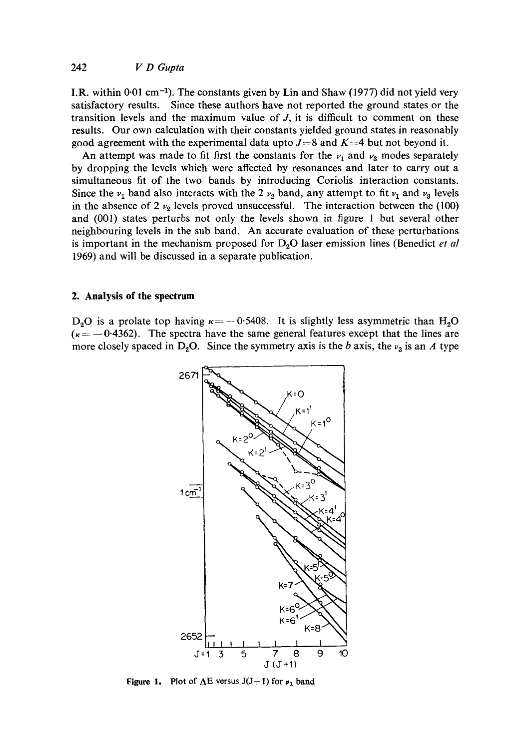I.R. within 0.01 cm<sup>-1</sup>). The constants given by Lin and Shaw (1977) did not yield very satisfactory results. Since these authors have not reported the ground states or the transition levels and the maximum value of  $J$ , it is difficult to comment on these results. Our own calculation with their constants yielded ground states in reasonably good agreement with the experimental data upto  $J=8$  and  $K=4$  but not beyond it.

An attempt was made to fit first the constants for the  $\nu_1$  and  $\nu_2$  modes separately by dropping the levels which were affected by resonances and later to carry out a simultaneous fit of the two bands by introducing Coriolis interaction constants. Since the  $v_1$  band also interacts with the 2  $v_2$  band, any attempt to fit  $v_1$  and  $v_3$  levels in the absence of 2  $v_2$  levels proved unsuccessful. The interaction between the (100) and (001) states perturbs not only the levels shown in figure 1 but several other neighbouring levels in the sub band. An accurate evaluation of these perturbations is important in the mechanism proposed for  $D_2O$  laser emission lines (Benedict *et al* 1969) and will be discussed in a separate publication.

## **2. Analysis of the spectrum**

D<sub>2</sub>O is a prolate top having  $\kappa = -0.5408$ . It is slightly less asymmetric than H<sub>2</sub>O  $(\kappa = -0.4362)$ . The spectra have the same general features except that the lines are more closely spaced in D<sub>2</sub>O. Since the symmetry axis is the b axis, the  $\nu_3$  is an A type



**Figure 1.** Plot of  $\Delta E$  versus  $J(J+1)$  for  $\nu_1$  band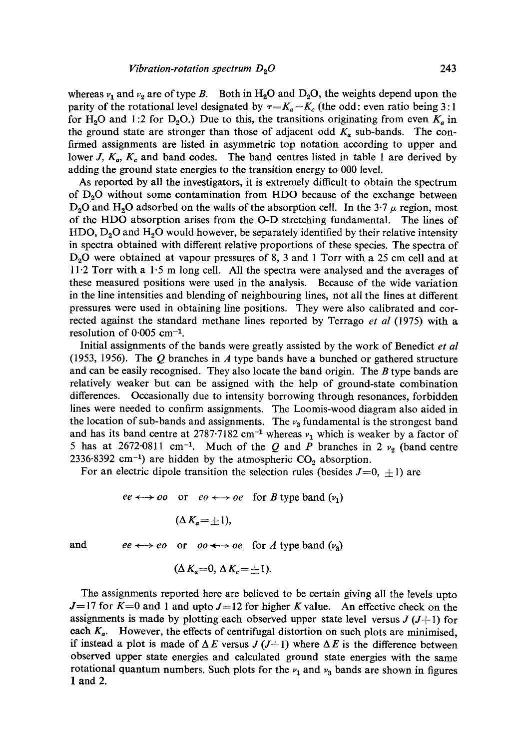whereas  $v_1$  and  $v_2$  are of type B. Both in H<sub>2</sub>O and D<sub>2</sub>O, the weights depend upon the parity of the rotational level designated by  $\tau = K_a - K_c$  (the odd: even ratio being 3:1) for H<sub>2</sub>O and 1:2 for D<sub>2</sub>O.) Due to this, the transitions originating from even  $K_a$  in the ground state are stronger than those of adjacent odd  $K_a$  sub-bands. The confirmed assignments are listed in asymmetric top notation according to upper and lower J,  $K_a$ ,  $K_c$  and band codes. The band centres listed in table 1 are derived by adding the ground state energies to the transition energy to 000 level.

As reported by all the investigators, it is extremely difficult to obtain the spectrum of  $D_2O$  without some contamination from HDO because of the exchange between  $D_2O$  and  $H_2O$  adsorbed on the walls of the absorption cell. In the 3.7  $\mu$  region, most of the HDO absorption arises from the O-D stretching fundamental. The lines of  $HDO, D<sub>2</sub>O$  and  $H<sub>2</sub>O$  would however, be separately identified by their relative intensity in spectra obtained with different relative proportions of these species. The spectra of  $D_2O$  were obtained at vapour pressures of 8, 3 and 1 Torr with a 25 cm cell and at 11.2 Torr with a 1.5 m long ceil. All the spectra were analysed and the averages of these measured positions were used in the analysis. Because of the wide variation in the line intensities and blending of neighbouring lines, not all the lines at different pressures were used in obtaining line positions. They were also calibrated and corrected against the standard methane lines reported by Terrago *et al* (1975) with a resolution of  $0.005$  cm<sup>-1</sup>.

Initial assignments of the bands were greatly assisted by the work of Benedict *et al*  (1953, 1956). The  $Q$  branches in  $\overline{A}$  type bands have a bunched or gathered structure and can be easily recognised. They also locate the band origin. The B type bands are relatively weaker but can be assigned with the help of ground-state combination differences. Occasionally due to intensity borrowing through resonances, forbidden lines were needed to confirm assignments. The Loomis-wood diagram also aided in the location of sub-bands and assignments. The  $v_3$  fundamental is the strongest band and has its band centre at 2787.7182 cm<sup>-1</sup> whereas  $v_1$  which is weaker by a factor of 5 has at 2672.0811 cm<sup>-1</sup>. Much of the Q and P branches in 2  $\nu$ <sub>2</sub> (band centre 2336.8392 cm<sup>-1</sup>) are hidden by the atmospheric  $CO<sub>2</sub>$  absorption.

For an electric dipole transition the selection rules (besides  $J=0, \pm 1$ ) are

$$
ee \leftrightarrow \text{oo} \quad \text{or} \quad \text{eo} \leftrightarrow \text{oe} \quad \text{for } B \text{ type band } (\nu_1)
$$
\n
$$
(\Delta K_a = \pm 1),
$$

and  $ee \leftrightarrow eo$  or  $oo \leftrightarrow oe$  for A type band  $(v_3)$ 

$$
(\Delta K_a=0, \Delta K_c=\pm 1).
$$

The assignments reported here are believed to be certain giving all the levels upto  $J=17$  for  $K=0$  and 1 and upto  $J=12$  for higher K value. An effective check on the assignments is made by plotting each observed upper state level versus  $J(J+1)$  for each  $K_a$ . However, the effects of centrifugal distortion on such plots are minimised, if instead a plot is made of  $\Delta E$  versus  $J(J+1)$  where  $\Delta E$  is the difference between observed upper state energies and calculated ground state energies with the same rotational quantum numbers. Such plots for the  $v_1$  and  $v_3$  bands are shown in figures 1 and 2.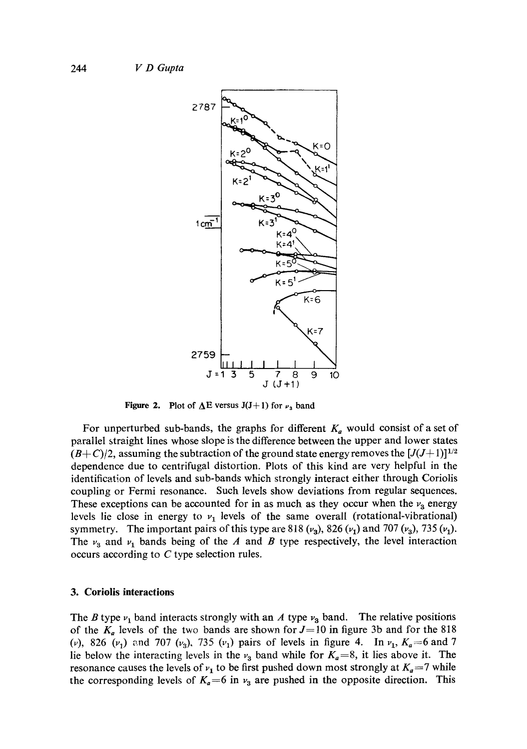

Figure 2. Plot of  $\Delta E$  versus J(J+1) for  $\nu_3$  band

For unperturbed sub-bands, the graphs for different  $K_a$  would consist of a set of parallel straight lines whose slope is the difference between the upper and lower states  $(B+C)/2$ , assuming the subtraction of the ground state energy removes the  $[J(J+1)]^{1/2}$ dependence due to centrifugal distortion. Plots of this kind are very helpful in the identification of levels and sub-bands which strongly interact either through Coriolis coupling or Fermi resonance. Such levels show deviations from regular sequences. These exceptions can be accounted for in as much as they occur when the  $\nu_3$  energy levels lie close in energy to  $v_1$  levels of the same overall (rotational-vibrational) symmetry. The important pairs of this type are 818  $(\nu_a)$ , 826  $(\nu_1)$  and 707  $(\nu_a)$ , 735  $(\nu_1)$ . The  $v_3$  and  $v_1$  bands being of the A and B type respectively, the level interaction occurs according to C type selection rules.

#### **3. Coriolis interactions**

The B type  $v_1$  band interacts strongly with an A type  $v_3$  band. The relative positions of the  $K_a$  levels of the two bands are shown for  $J=10$  in figure 3b and for the 818 (v), 826 ( $\nu_1$ ) and 707 ( $\nu_3$ ), 735 ( $\nu_1$ ) pairs of levels in figure 4. In  $\nu_1$ ,  $K_a = 6$  and 7 lie below the interacting levels in the  $v_3$  band while for  $K_a=8$ , it lies above it. The resonance causes the levels of  $v_1$  to be first pushed down most strongly at  $K_a = 7$  while the corresponding levels of  $K_a=6$  in  $v_3$  are pushed in the opposite direction. This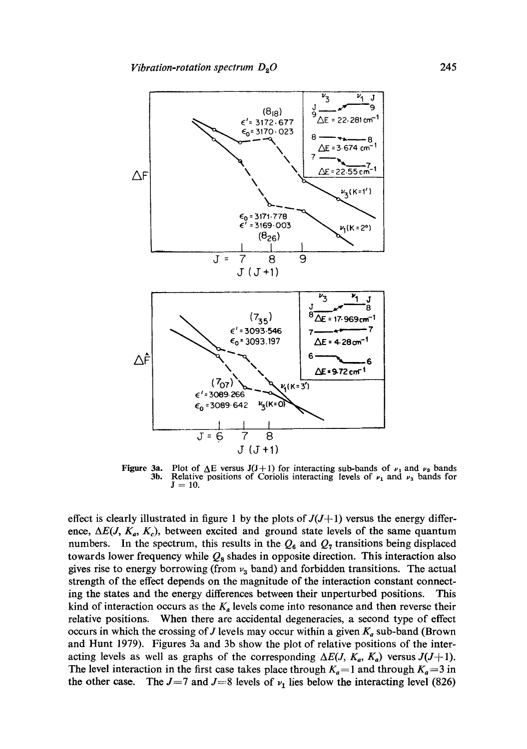

Figure 3a. 3b. Plot of  $\Delta E$  versus J(J+1) for interacting sub-bands of  $\nu_1$  and  $\nu_3$  bands Relative positions of Coriolis interacting levels of  $\nu_1$  and  $\nu_3$  bands for  $J = 10$ .

effect is clearly illustrated in figure 1 by the plots of  $J(J+1)$  versus the energy difference,  $\Delta E(J, K_a, K_c)$ , between excited and ground state levels of the same quantum numbers. In the spectrum, this results in the  $Q_6$  and  $Q_7$  transitions being displaced towards lower frequency while  $Q_8$  shades in opposite direction. This interaction also gives rise to energy borrowing (from  $v_3$  band) and forbidden transitions. The actual strength of the effect depends on the magnitude of the interaction constant connecting the states and the energy differences between their unperturbed positions. This kind of interaction occurs as the  $K_a$  levels come into resonance and then reverse their relative positions. When there are accidental degeneracies, a second type of effect occurs in which the crossing of J levels may occur within a given  $K_a$  sub-band (Brown and Hunt 1979). Figures 3a and 3b show the plot of relative positions of the interacting levels as well as graphs of the corresponding  $\Delta E(J, K_a, K_a)$  versus  $J(J+1)$ . The level interaction in the first case takes place through  $K_a=1$  and through  $K_a=3$  in the other case. The  $J=7$  and  $J=8$  levels of  $\nu_1$  lies below the interacting level (826)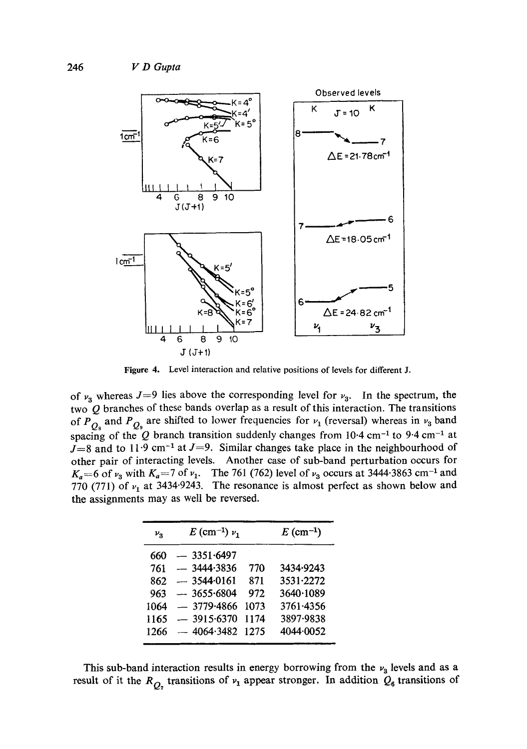

**Figure 4.**  Level interaction and relative positions of levels for different J.

of  $v_3$  whereas  $J=9$  lies above the corresponding level for  $v_3$ . In the spectrum, the two  $Q$  branches of these bands overlap as a result of this interaction. The transitions of  $P_{Q_8}$  and  $P_{Q_8}$  are shifted to lower frequencies for  $v_1$  (reversal) whereas in  $v_3$  band spacing of the Q branch transition suddenly changes from 10.4 cm<sup>-1</sup> to 9.4 cm<sup>-1</sup> at  $J=8$  and to 11.9 cm<sup>-1</sup> at  $J=9$ . Similar changes take place in the neighbourhood of other pair of interacting levels. Another case of sub-band perturbation occurs for  $K_a=6$  of  $v_3$  with  $K_a=7$  of  $v_1$ . The 761 (762) level of  $v_3$  occurs at 3444.3863 cm<sup>-1</sup> and 770 (771) of  $v_1$  at 3434.9243. The resonance is almost perfect as shown below and the assignments may as well be reversed.

| $\nu_{\rm R}$ | $E$ (cm <sup>-1</sup> ) $\nu_1$ |      | $E$ (cm <sup>-1</sup> ) |
|---------------|---------------------------------|------|-------------------------|
| 660           | $-3351.6497$                    |      |                         |
| 761           | $-3444.3836$                    | 770  | 3434.9243               |
| 862           | $-3544.0161$                    | 871  | 3531.2272               |
| 963           | $-3655.6804$                    | 972  | 3640.1089               |
| 1064          | $-3779.4866$                    | 1073 | 3761.4356               |
| 1165          | $-3915.6370$                    | 1174 | 3897-9838               |
| 1266          | $-4064.3482$ 1275               |      | 4044.0052               |

This sub-band interaction results in energy borrowing from the  $\nu_3$  levels and as a result of it the  $R_{Q_2}$  transitions of  $v_1$  appear stronger. In addition  $Q_6$  transitions of